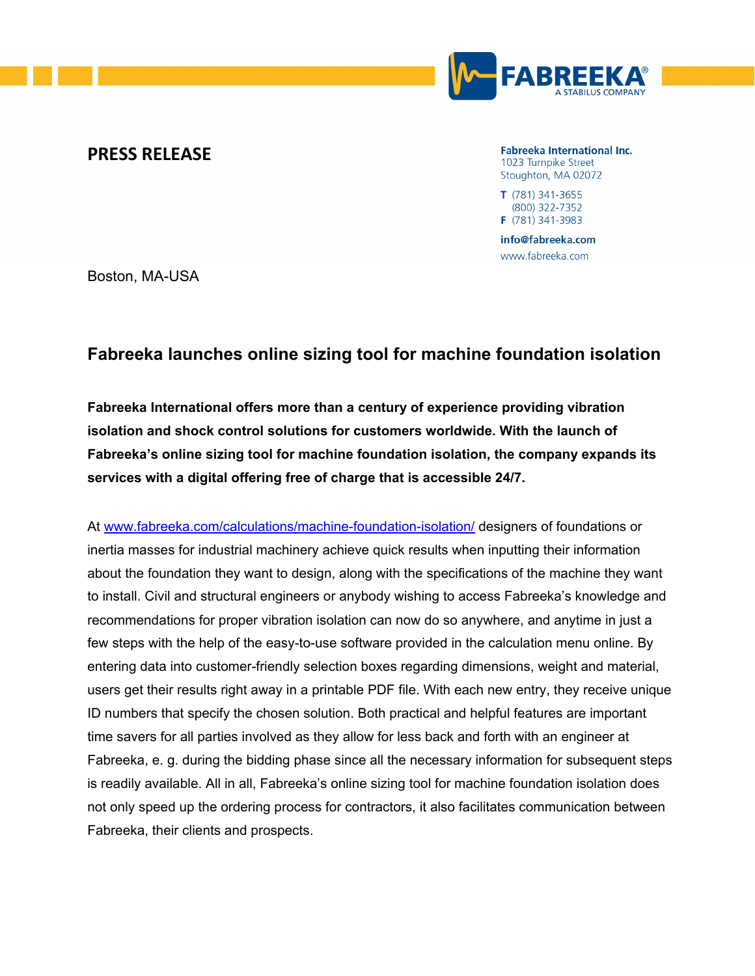## **PRESS RELEASE**

**Fabreeka International Inc.** 1023 Turnpike Street Stoughton, MA 02072

 $T(781) 341-3655$ (800) 322-7352 F (781) 341-3983

info@fabreeka.com www.fabreeka.com

Boston, MA-USA

# **Fabreeka launches online sizing tool for machine foundation isolation**

**Fabreeka International offers more than a century of experience providing vibration isolation and shock control solutions for customers worldwide. With the launch of Fabreeka's online sizing tool for machine foundation isolation, the company expands its services with a digital offering free of charge that is accessible 24/7.** 

At www.fabreeka.com/calculations/machine-foundation-isolation/ designers of foundations or inertia masses for industrial machinery achieve quick results when inputting their information about the foundation they want to design, along with the specifications of the machine they want to install. Civil and structural engineers or anybody wishing to access Fabreeka's knowledge and recommendations for proper vibration isolation can now do so anywhere, and anytime in just a few steps with the help of the easy-to-use software provided in the calculation menu online. By entering data into customer-friendly selection boxes regarding dimensions, weight and material, users get their results right away in a printable PDF file. With each new entry, they receive unique ID numbers that specify the chosen solution. Both practical and helpful features are important time savers for all parties involved as they allow for less back and forth with an engineer at Fabreeka, e. g. during the bidding phase since all the necessary information for subsequent steps is readily available. All in all, Fabreeka's online sizing tool for machine foundation isolation does not only speed up the ordering process for contractors, it also facilitates communication between Fabreeka, their clients and prospects.

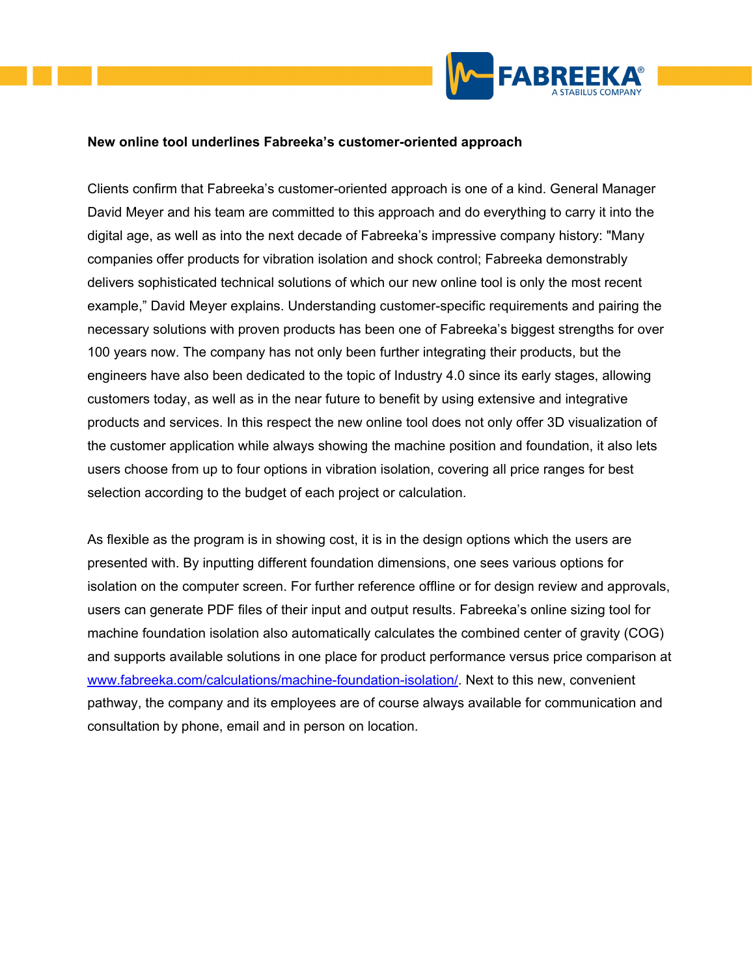

#### **New online tool underlines Fabreeka's customer-oriented approach**

Clients confirm that Fabreeka's customer-oriented approach is one of a kind. General Manager David Meyer and his team are committed to this approach and do everything to carry it into the digital age, as well as into the next decade of Fabreeka's impressive company history: "Many companies offer products for vibration isolation and shock control; Fabreeka demonstrably delivers sophisticated technical solutions of which our new online tool is only the most recent example," David Meyer explains. Understanding customer-specific requirements and pairing the necessary solutions with proven products has been one of Fabreeka's biggest strengths for over 100 years now. The company has not only been further integrating their products, but the engineers have also been dedicated to the topic of Industry 4.0 since its early stages, allowing customers today, as well as in the near future to benefit by using extensive and integrative products and services. In this respect the new online tool does not only offer 3D visualization of the customer application while always showing the machine position and foundation, it also lets users choose from up to four options in vibration isolation, covering all price ranges for best selection according to the budget of each project or calculation.

As flexible as the program is in showing cost, it is in the design options which the users are presented with. By inputting different foundation dimensions, one sees various options for isolation on the computer screen. For further reference offline or for design review and approvals, users can generate PDF files of their input and output results. Fabreeka's online sizing tool for machine foundation isolation also automatically calculates the combined center of gravity (COG) and supports available solutions in one place for product performance versus price comparison at www.fabreeka.com/calculations/machine-foundation-isolation/. Next to this new, convenient pathway, the company and its employees are of course always available for communication and consultation by phone, email and in person on location.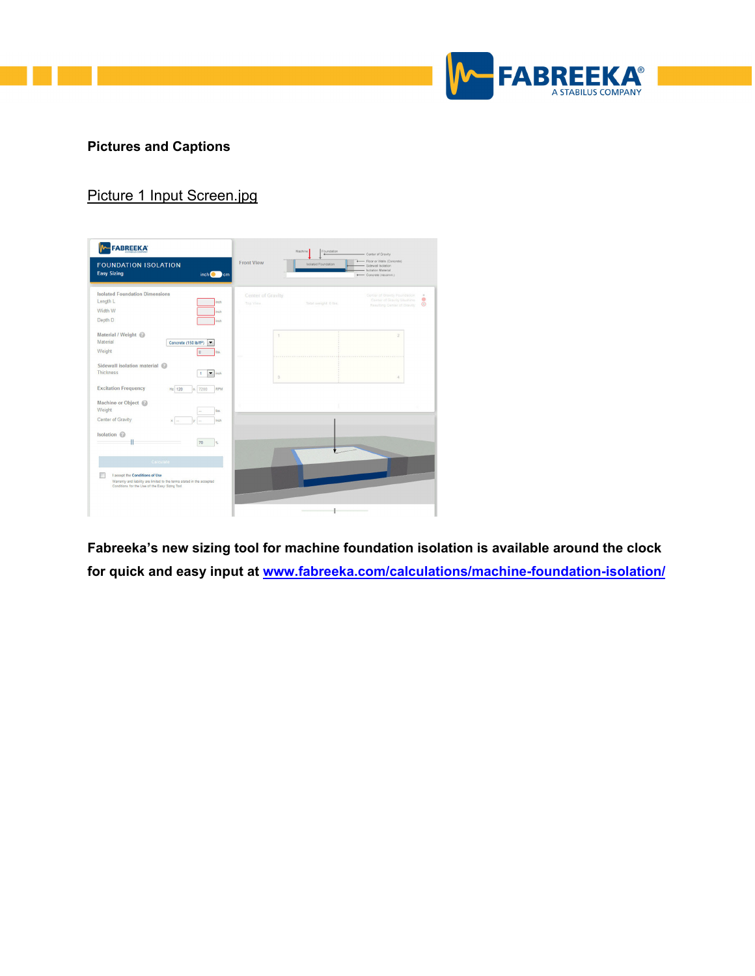

### **Pictures and Captions**

## Picture 1 Input Screen.jpg

| <b>FABREEKA</b><br><b>FOUNDATION ISOLATION</b><br><b>Easy Sizing</b><br>$inch$ $cm$                                                                                                       | <b>Front View</b>             | Machine<br>Foundation<br>Isolated Foundation | - Center of Gravity<br>+ Floor or Walls (Concrete)<br>- Sidewall Isolation<br><b>Isolation Material</b><br>Concrete (recomm.) |
|-------------------------------------------------------------------------------------------------------------------------------------------------------------------------------------------|-------------------------------|----------------------------------------------|-------------------------------------------------------------------------------------------------------------------------------|
| <b>Isolated Foundation Dimensions</b><br>Length L<br>inch<br>Width W<br>inch<br>Depth D<br>inch                                                                                           | Center of Gravity<br>Top View | Total weight: 0 lbs.                         | Center of Gravity Foundation<br>$\alpha$<br>$\bullet$<br>Center of Gravity Machine<br>$\odot$<br>Resulting Center of Gravity  |
| Material / Weight @<br>Material<br>Concrete (150 lb/ft <sup>3</sup> )<br>Weight<br>$\circ$<br>bs.                                                                                         | ٦                             |                                              |                                                                                                                               |
| Sidewall isolation material<br><b>Thickness</b><br>$\blacksquare$ inch<br>$\mathbf{1}$                                                                                                    | $\overline{3}$                |                                              | 4                                                                                                                             |
| <b>Excitation Frequency</b><br>RPM<br>Hz 120<br>7200<br>ö.<br>Machine or Object @<br>Weight<br>bs.<br>Center of Gravity<br>inch<br>$\mathbf{x}$<br>$\ddot{v}$<br>$\overline{\phantom{a}}$ |                               |                                              |                                                                                                                               |
| Isolation @<br>70                                                                                                                                                                         |                               |                                              |                                                                                                                               |
| Calculate<br>I accept the Conditions of Use<br>Warranty and liability are limited to the terms stated in the accepted<br>Conditions for the Use of the Easy Sizing Tool.                  |                               |                                              |                                                                                                                               |

**Fabreeka's new sizing tool for machine foundation isolation is available around the clock for quick and easy input at www.fabreeka.com/calculations/machine-foundation-isolation/**